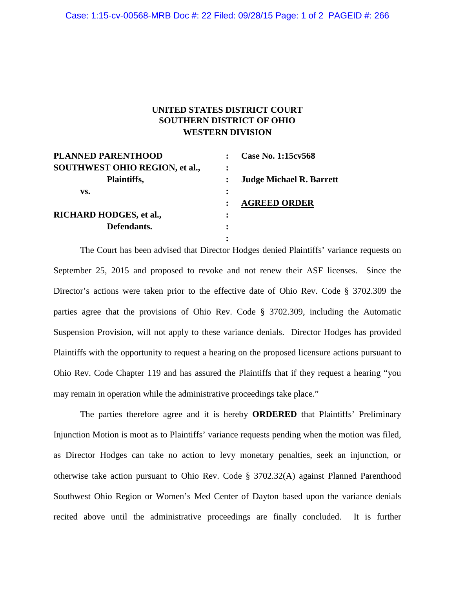## **UNITED STATES DISTRICT COURT SOUTHERN DISTRICT OF OHIO WESTERN DIVISION**

| <b>PLANNED PARENTHOOD</b>             |   | Case No. 1:15cv568              |
|---------------------------------------|---|---------------------------------|
| <b>SOUTHWEST OHIO REGION, et al.,</b> | ፡ |                                 |
| Plaintiffs,                           |   | <b>Judge Michael R. Barrett</b> |
| VS.                                   | ٠ |                                 |
|                                       |   | <b>AGREED ORDER</b>             |
| RICHARD HODGES, et al.,               | ፡ |                                 |
| Defendants.                           |   |                                 |
|                                       | ٠ |                                 |

The Court has been advised that Director Hodges denied Plaintiffs' variance requests on September 25, 2015 and proposed to revoke and not renew their ASF licenses. Since the Director's actions were taken prior to the effective date of Ohio Rev. Code § 3702.309 the parties agree that the provisions of Ohio Rev. Code § 3702.309, including the Automatic Suspension Provision, will not apply to these variance denials. Director Hodges has provided Plaintiffs with the opportunity to request a hearing on the proposed licensure actions pursuant to Ohio Rev. Code Chapter 119 and has assured the Plaintiffs that if they request a hearing "you may remain in operation while the administrative proceedings take place."

The parties therefore agree and it is hereby **ORDERED** that Plaintiffs' Preliminary Injunction Motion is moot as to Plaintiffs' variance requests pending when the motion was filed, as Director Hodges can take no action to levy monetary penalties, seek an injunction, or otherwise take action pursuant to Ohio Rev. Code § 3702.32(A) against Planned Parenthood Southwest Ohio Region or Women's Med Center of Dayton based upon the variance denials recited above until the administrative proceedings are finally concluded. It is further